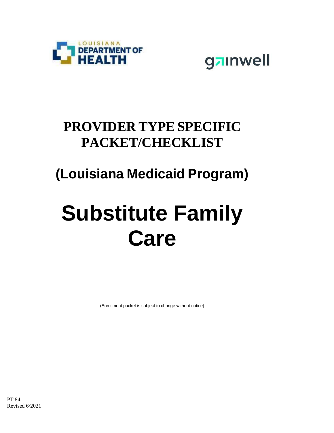



### **PROVIDER TYPE SPECIFIC PACKET/CHECKLIST**

### **(Louisiana Medicaid Program)**

# **Substitute Family Care**

(Enrollment packet is subject to change without notice)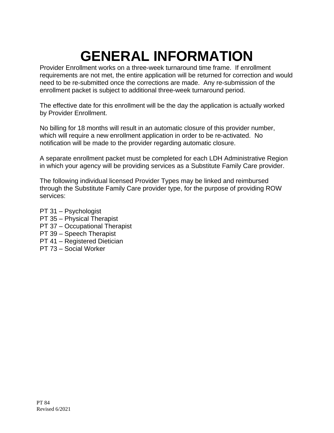### **GENERAL INFORMATION**

Provider Enrollment works on a three-week turnaround time frame. If enrollment requirements are not met, the entire application will be returned for correction and would need to be re-submitted once the corrections are made. Any re-submission of the enrollment packet is subject to additional three-week turnaround period.

The effective date for this enrollment will be the day the application is actually worked by Provider Enrollment.

No billing for 18 months will result in an automatic closure of this provider number, which will require a new enrollment application in order to be re-activated. No notification will be made to the provider regarding automatic closure.

A separate enrollment packet must be completed for each LDH Administrative Region in which your agency will be providing services as a Substitute Family Care provider.

The following individual licensed Provider Types may be linked and reimbursed through the Substitute Family Care provider type, for the purpose of providing ROW services:

PT 31 – Psychologist PT 35 – Physical Therapist PT 37 – Occupational Therapist PT 39 – Speech Therapist PT 41 – Registered Dietician PT 73 – Social Worker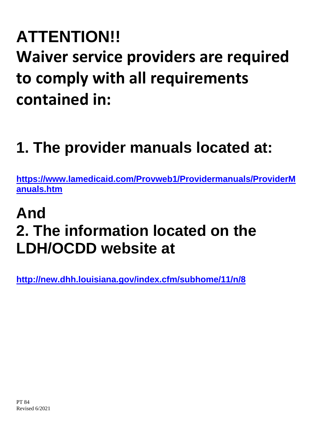## **ATTENTION!! Waiver service providers are required to comply with all requirements contained in:**

### **1. The provider manuals located at:**

**[https://www.lamedicaid.com/Provweb1/Providermanuals/ProviderM](https://www.lamedicaid.com/Provweb1/Providermanuals/ProviderManuals.htm) [anuals.htm](https://www.lamedicaid.com/Provweb1/Providermanuals/ProviderManuals.htm)**

### **And 2. The information located on the LDH/OCDD website at**

**<http://new.dhh.louisiana.gov/index.cfm/subhome/11/n/8>**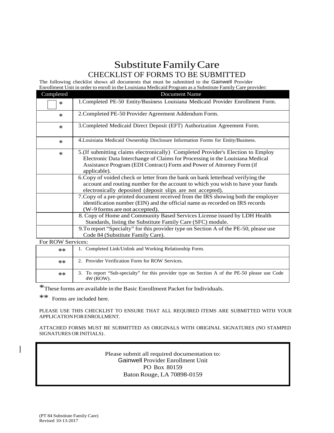#### Substitute Family Care CHECKLIST OF FORMS TO BE SUBMITTED

The following checklist shows all documents that must be submitted to the Gainwell Provider Enrollment Unit in order to enroll in the Louisiana Medicaid Program as a Substitute Family Care provider:

| Completed         | Document Name                                                                                                                                                                                                                                              |
|-------------------|------------------------------------------------------------------------------------------------------------------------------------------------------------------------------------------------------------------------------------------------------------|
| $\ast$            | 1. Completed PE-50 Entity/Business Louisiana Medicaid Provider Enrollment Form.                                                                                                                                                                            |
| $\ast$            | 2. Completed PE-50 Provider Agreement Addendum Form.                                                                                                                                                                                                       |
| $\ast$            | 3. Completed Medicaid Direct Deposit (EFT) Authorization Agreement Form.                                                                                                                                                                                   |
| $\ast$            | 4. Louisiana Medicaid Ownership Disclosure Information Forms for Entity/Business.                                                                                                                                                                          |
| $\ast$            | 5. (If submitting claims electronically) Completed Provider's Election to Employ<br>Electronic Data Interchange of Claims for Processing in the Louisiana Medical<br>Assistance Program (EDI Contract) Form and Power of Attorney Form (if<br>applicable). |
|                   | 6. Copy of voided check or letter from the bank on bank letterhead verifying the<br>account and routing number for the account to which you wish to have your funds<br>electronically deposited (deposit slips are not accepted).                          |
|                   | 7. Copy of a pre-printed document received from the IRS showing both the employer<br>identification number (EIN) and the official name as recorded on IRS records<br>(W-9 forms are not accepted).                                                         |
|                   | 8. Copy of Home and Community Based Services License issued by LDH Health<br>Standards, listing the Substitute Family Care (SFC) module.                                                                                                                   |
|                   | 9. To report "Specialty" for this provider type on Section A of the PE-50, please use<br>Code 84 (Substitute Family Care).                                                                                                                                 |
| For ROW Services: |                                                                                                                                                                                                                                                            |
| **                | 1. Completed Link/Unlink and Working Relationship Form.                                                                                                                                                                                                    |

| <b>The Channel</b> |                                                                                                            |
|--------------------|------------------------------------------------------------------------------------------------------------|
| $***$              | 2. Provider Verification Form for ROW Services.                                                            |
| $**$               | 3. To report "Sub-specialty" for this provider type on Section A of the PE-50 please use Code<br>4W (ROW). |

\*These forms are available in the Basic Enrollment Packet for Individuals.

\*\* Forms are included here.

PLEASE USE THIS CHECKLIST TO ENSURE THAT ALL REQUIRED ITEMS ARE SUBMITTED WITH YOUR APPLICATIONFORENROLLMENT.

ATTACHED FORMS MUST BE SUBMITTED AS ORIGINALS WITH ORIGINAL SIGNATURES (NO STAMPED SIGNATURES OR INITIALS) .

> Please submit all required documentation to: Gainwell Provider Enrollment Unit PO Box 80159 Baton Rouge, LA 70898-0159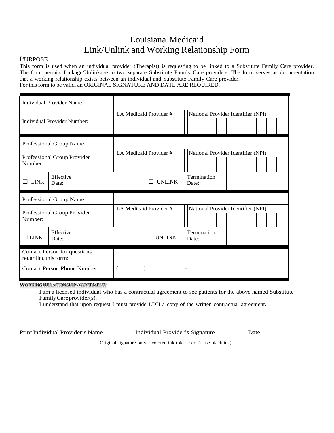#### Louisiana Medicaid Link/Unlink and Working Relationship Form

#### PURPOSE

This form is used when an individual provider (Therapist) is requesting to be linked to a Substitute Family Care provider. The form permits Linkage/Unlinkage to two separate Substitute Family Care providers. The form serves as documentation that a working relationship exists between an individual and Substitute Family Care provider. For this form to be valid, an ORIGINAL SIGNATURE AND DATE ARE REQUIRED.

| <b>Individual Provider Name:</b>                     |                    |                       |                        |  |  |                        |  |               |  |                                    |  |  |  |  |  |  |  |  |  |  |
|------------------------------------------------------|--------------------|-----------------------|------------------------|--|--|------------------------|--|---------------|--|------------------------------------|--|--|--|--|--|--|--|--|--|--|
|                                                      |                    | LA Medicaid Provider# |                        |  |  |                        |  |               |  | National Provider Identifier (NPI) |  |  |  |  |  |  |  |  |  |  |
| <b>Individual Provider Number:</b>                   |                    |                       |                        |  |  |                        |  |               |  |                                    |  |  |  |  |  |  |  |  |  |  |
| Professional Group Name:                             |                    |                       |                        |  |  |                        |  |               |  |                                    |  |  |  |  |  |  |  |  |  |  |
| Professional Group Provider<br>Number:               |                    |                       | LA Medicaid Provider # |  |  |                        |  |               |  | National Provider Identifier (NPI) |  |  |  |  |  |  |  |  |  |  |
|                                                      |                    |                       |                        |  |  |                        |  |               |  |                                    |  |  |  |  |  |  |  |  |  |  |
| <b>LINK</b>                                          | Effective<br>Date: |                       |                        |  |  | <b>UNLINK</b>          |  |               |  | Termination<br>Date:               |  |  |  |  |  |  |  |  |  |  |
| Professional Group Name:                             |                    |                       |                        |  |  |                        |  |               |  |                                    |  |  |  |  |  |  |  |  |  |  |
|                                                      |                    |                       |                        |  |  | LA Medicaid Provider # |  |               |  | National Provider Identifier (NPI) |  |  |  |  |  |  |  |  |  |  |
| Professional Group Provider<br>Number:               |                    |                       |                        |  |  |                        |  |               |  |                                    |  |  |  |  |  |  |  |  |  |  |
| $\Box$ LINK                                          | Effective<br>Date: |                       |                        |  |  |                        |  | $\Box$ UNLINK |  | Termination<br>Date:               |  |  |  |  |  |  |  |  |  |  |
| Contact Person for questions<br>regarding this form: |                    |                       |                        |  |  |                        |  |               |  |                                    |  |  |  |  |  |  |  |  |  |  |
| <b>Contact Person Phone Number:</b>                  |                    |                       | $\overline{(}$         |  |  |                        |  |               |  |                                    |  |  |  |  |  |  |  |  |  |  |

WORKING RELATIONSHIP AGREEMENT

I am a licensed individual who has a contractual agreement to see patients for the above named Substitute Family Care provider(s).

I understand that upon request I must provide LDH a copy of the written contractual agreement.

Print Individual Provider's Name Individual Provider's Signature Date

Original signature only – colored ink (please don't use black ink)